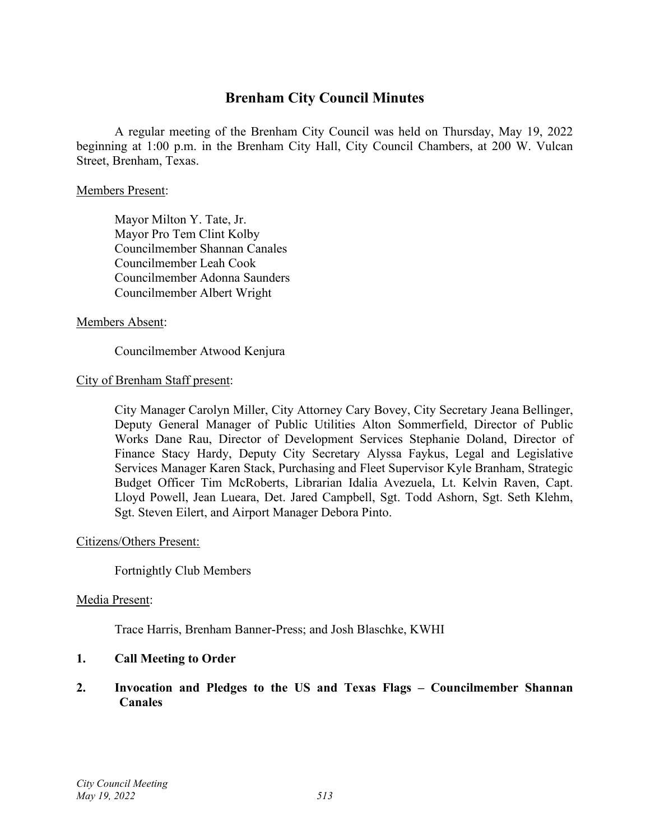## **Brenham City Council Minutes**

A regular meeting of the Brenham City Council was held on Thursday, May 19, 2022 beginning at 1:00 p.m. in the Brenham City Hall, City Council Chambers, at 200 W. Vulcan Street, Brenham, Texas.

#### Members Present:

Mayor Milton Y. Tate, Jr. Mayor Pro Tem Clint Kolby Councilmember Shannan Canales Councilmember Leah Cook Councilmember Adonna Saunders Councilmember Albert Wright

#### Members Absent:

## Councilmember Atwood Kenjura

## City of Brenham Staff present:

City Manager Carolyn Miller, City Attorney Cary Bovey, City Secretary Jeana Bellinger, Deputy General Manager of Public Utilities Alton Sommerfield, Director of Public Works Dane Rau, Director of Development Services Stephanie Doland, Director of Finance Stacy Hardy, Deputy City Secretary Alyssa Faykus, Legal and Legislative Services Manager Karen Stack, Purchasing and Fleet Supervisor Kyle Branham, Strategic Budget Officer Tim McRoberts, Librarian Idalia Avezuela, Lt. Kelvin Raven, Capt. Lloyd Powell, Jean Lueara, Det. Jared Campbell, Sgt. Todd Ashorn, Sgt. Seth Klehm, Sgt. Steven Eilert, and Airport Manager Debora Pinto.

#### Citizens/Others Present:

Fortnightly Club Members

#### Media Present:

Trace Harris, Brenham Banner-Press; and Josh Blaschke, KWHI

## **1. Call Meeting to Order**

## **2. Invocation and Pledges to the US and Texas Flags – Councilmember Shannan Canales**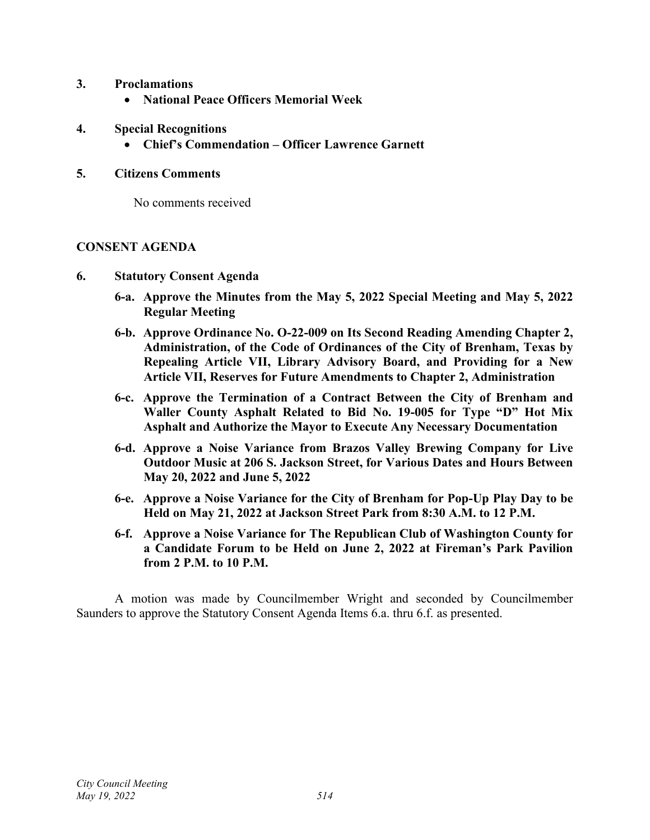- **3. Proclamations**
	- **National Peace Officers Memorial Week**
- **4. Special Recognitions**
	- **Chief's Commendation – Officer Lawrence Garnett**

#### **5. Citizens Comments**

No comments received

#### **CONSENT AGENDA**

- **6. Statutory Consent Agenda**
	- **6-a. Approve the Minutes from the May 5, 2022 Special Meeting and May 5, 2022 Regular Meeting**
	- **6-b. Approve Ordinance No. O-22-009 on Its Second Reading Amending Chapter 2, Administration, of the Code of Ordinances of the City of Brenham, Texas by Repealing Article VII, Library Advisory Board, and Providing for a New Article VII, Reserves for Future Amendments to Chapter 2, Administration**
	- **6-c. Approve the Termination of a Contract Between the City of Brenham and Waller County Asphalt Related to Bid No. 19-005 for Type "D" Hot Mix Asphalt and Authorize the Mayor to Execute Any Necessary Documentation**
	- **6-d. Approve a Noise Variance from Brazos Valley Brewing Company for Live Outdoor Music at 206 S. Jackson Street, for Various Dates and Hours Between May 20, 2022 and June 5, 2022**
	- **6-e. Approve a Noise Variance for the City of Brenham for Pop-Up Play Day to be Held on May 21, 2022 at Jackson Street Park from 8:30 A.M. to 12 P.M.**
	- **6-f. Approve a Noise Variance for The Republican Club of Washington County for a Candidate Forum to be Held on June 2, 2022 at Fireman's Park Pavilion from 2 P.M. to 10 P.M.**

A motion was made by Councilmember Wright and seconded by Councilmember Saunders to approve the Statutory Consent Agenda Items 6.a. thru 6.f. as presented.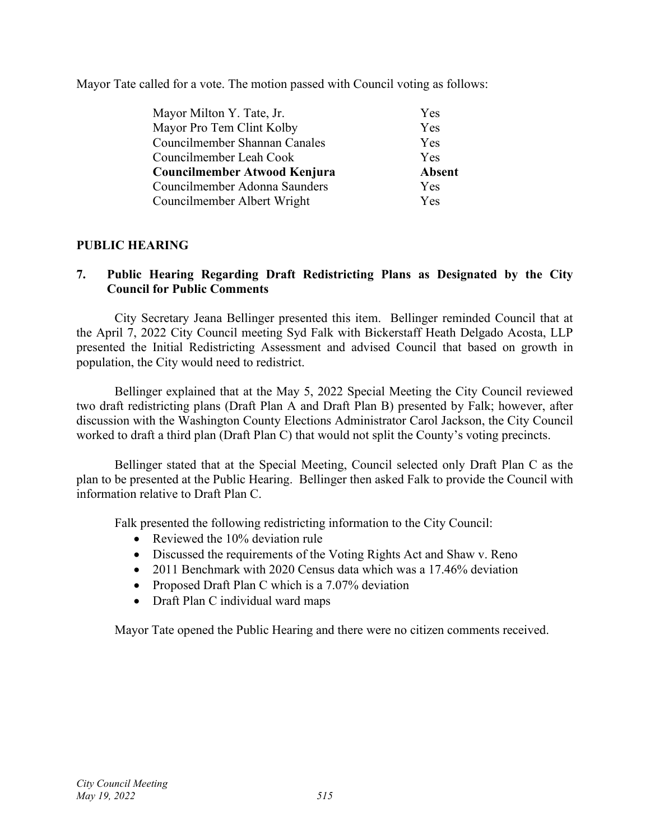Mayor Tate called for a vote. The motion passed with Council voting as follows:

| Mayor Milton Y. Tate, Jr.     | Yes           |
|-------------------------------|---------------|
| Mayor Pro Tem Clint Kolby     | Yes           |
| Councilmember Shannan Canales | Yes           |
| Councilmember Leah Cook       | Yes           |
| Councilmember Atwood Kenjura  | <b>Absent</b> |
| Councilmember Adonna Saunders | Yes           |
| Councilmember Albert Wright   | Yes           |

## **PUBLIC HEARING**

## **7. Public Hearing Regarding Draft Redistricting Plans as Designated by the City Council for Public Comments**

City Secretary Jeana Bellinger presented this item. Bellinger reminded Council that at the April 7, 2022 City Council meeting Syd Falk with Bickerstaff Heath Delgado Acosta, LLP presented the Initial Redistricting Assessment and advised Council that based on growth in population, the City would need to redistrict.

Bellinger explained that at the May 5, 2022 Special Meeting the City Council reviewed two draft redistricting plans (Draft Plan A and Draft Plan B) presented by Falk; however, after discussion with the Washington County Elections Administrator Carol Jackson, the City Council worked to draft a third plan (Draft Plan C) that would not split the County's voting precincts.

Bellinger stated that at the Special Meeting, Council selected only Draft Plan C as the plan to be presented at the Public Hearing. Bellinger then asked Falk to provide the Council with information relative to Draft Plan C.

Falk presented the following redistricting information to the City Council:

- Reviewed the 10% deviation rule
- Discussed the requirements of the Voting Rights Act and Shaw v. Reno
- 2011 Benchmark with 2020 Census data which was a 17.46% deviation
- Proposed Draft Plan C which is a 7.07% deviation
- Draft Plan C individual ward maps

Mayor Tate opened the Public Hearing and there were no citizen comments received.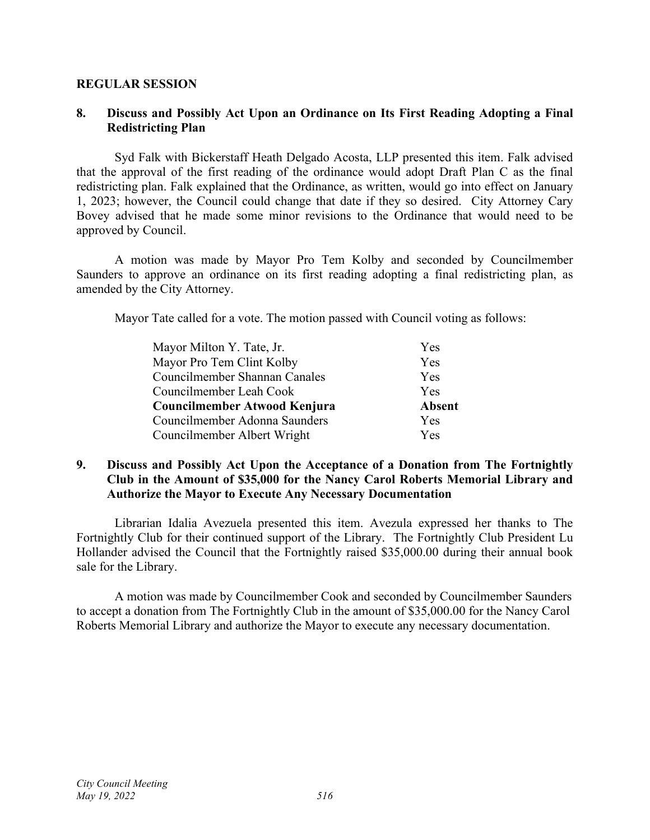#### **REGULAR SESSION**

## **8. Discuss and Possibly Act Upon an Ordinance on Its First Reading Adopting a Final Redistricting Plan**

Syd Falk with Bickerstaff Heath Delgado Acosta, LLP presented this item. Falk advised that the approval of the first reading of the ordinance would adopt Draft Plan C as the final redistricting plan. Falk explained that the Ordinance, as written, would go into effect on January 1, 2023; however, the Council could change that date if they so desired. City Attorney Cary Bovey advised that he made some minor revisions to the Ordinance that would need to be approved by Council.

A motion was made by Mayor Pro Tem Kolby and seconded by Councilmember Saunders to approve an ordinance on its first reading adopting a final redistricting plan, as amended by the City Attorney.

Mayor Tate called for a vote. The motion passed with Council voting as follows:

| Mayor Milton Y. Tate, Jr.     | <b>Yes</b>    |
|-------------------------------|---------------|
| Mayor Pro Tem Clint Kolby     | Yes           |
| Councilmember Shannan Canales | Yes           |
| Councilmember Leah Cook       | <b>Yes</b>    |
| Councilmember Atwood Kenjura  | <b>Absent</b> |
| Councilmember Adonna Saunders | <b>Yes</b>    |
| Councilmember Albert Wright   | Yes           |

## **9. Discuss and Possibly Act Upon the Acceptance of a Donation from The Fortnightly Club in the Amount of \$35,000 for the Nancy Carol Roberts Memorial Library and Authorize the Mayor to Execute Any Necessary Documentation**

Librarian Idalia Avezuela presented this item. Avezula expressed her thanks to The Fortnightly Club for their continued support of the Library. The Fortnightly Club President Lu Hollander advised the Council that the Fortnightly raised \$35,000.00 during their annual book sale for the Library.

A motion was made by Councilmember Cook and seconded by Councilmember Saunders to accept a donation from The Fortnightly Club in the amount of \$35,000.00 for the Nancy Carol Roberts Memorial Library and authorize the Mayor to execute any necessary documentation.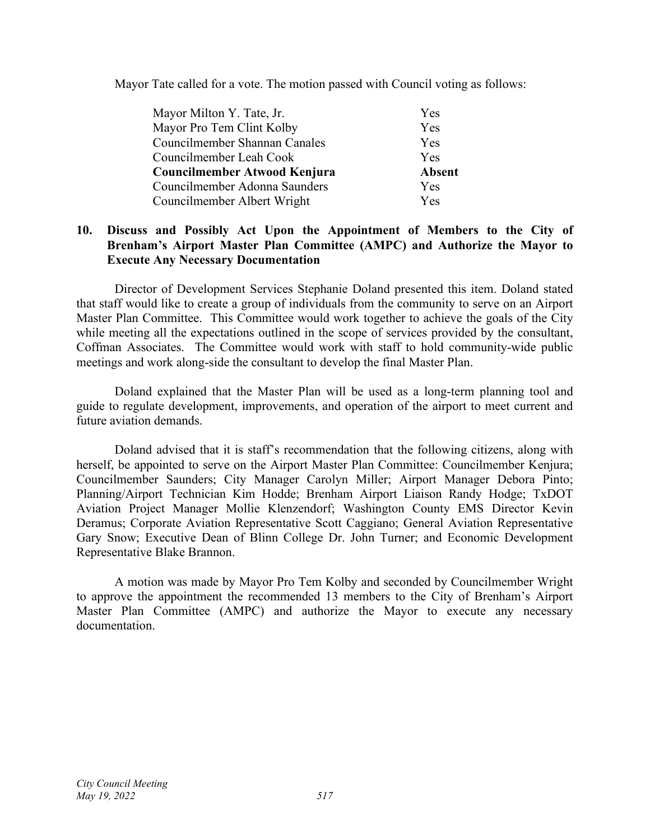Mayor Tate called for a vote. The motion passed with Council voting as follows:

| Mayor Milton Y. Tate, Jr.     | Yes           |
|-------------------------------|---------------|
| Mayor Pro Tem Clint Kolby     | Yes           |
| Councilmember Shannan Canales | Yes           |
| Councilmember Leah Cook       | Yes           |
| Councilmember Atwood Kenjura  | <b>Absent</b> |
| Councilmember Adonna Saunders | Yes           |
| Councilmember Albert Wright   | Yes           |

## **10. Discuss and Possibly Act Upon the Appointment of Members to the City of Brenham's Airport Master Plan Committee (AMPC) and Authorize the Mayor to Execute Any Necessary Documentation**

Director of Development Services Stephanie Doland presented this item. Doland stated that staff would like to create a group of individuals from the community to serve on an Airport Master Plan Committee. This Committee would work together to achieve the goals of the City while meeting all the expectations outlined in the scope of services provided by the consultant, Coffman Associates. The Committee would work with staff to hold community-wide public meetings and work along-side the consultant to develop the final Master Plan.

Doland explained that the Master Plan will be used as a long-term planning tool and guide to regulate development, improvements, and operation of the airport to meet current and future aviation demands.

Doland advised that it is staff's recommendation that the following citizens, along with herself, be appointed to serve on the Airport Master Plan Committee: Councilmember Kenjura; Councilmember Saunders; City Manager Carolyn Miller; Airport Manager Debora Pinto; Planning/Airport Technician Kim Hodde; Brenham Airport Liaison Randy Hodge; TxDOT Aviation Project Manager Mollie Klenzendorf; Washington County EMS Director Kevin Deramus; Corporate Aviation Representative Scott Caggiano; General Aviation Representative Gary Snow; Executive Dean of Blinn College Dr. John Turner; and Economic Development Representative Blake Brannon.

A motion was made by Mayor Pro Tem Kolby and seconded by Councilmember Wright to approve the appointment the recommended 13 members to the City of Brenham's Airport Master Plan Committee (AMPC) and authorize the Mayor to execute any necessary documentation.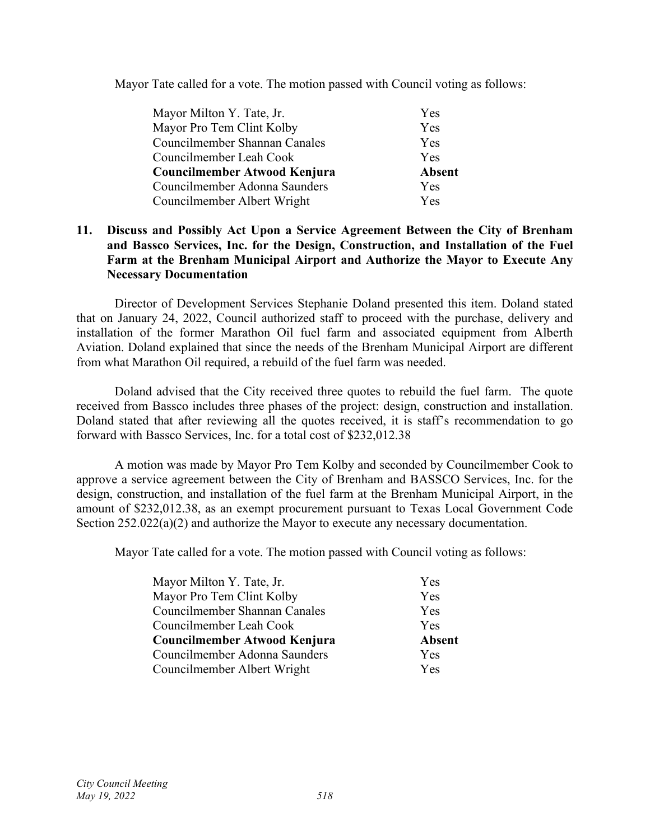Mayor Tate called for a vote. The motion passed with Council voting as follows:

| Mayor Milton Y. Tate, Jr.     | Yes           |
|-------------------------------|---------------|
| Mayor Pro Tem Clint Kolby     | Yes           |
| Councilmember Shannan Canales | Yes           |
| Councilmember Leah Cook       | <b>Yes</b>    |
| Councilmember Atwood Kenjura  | <b>Absent</b> |
| Councilmember Adonna Saunders | <b>Yes</b>    |
| Councilmember Albert Wright   | Yes           |

## **11. Discuss and Possibly Act Upon a Service Agreement Between the City of Brenham and Bassco Services, Inc. for the Design, Construction, and Installation of the Fuel Farm at the Brenham Municipal Airport and Authorize the Mayor to Execute Any Necessary Documentation**

Director of Development Services Stephanie Doland presented this item. Doland stated that on January 24, 2022, Council authorized staff to proceed with the purchase, delivery and installation of the former Marathon Oil fuel farm and associated equipment from Alberth Aviation. Doland explained that since the needs of the Brenham Municipal Airport are different from what Marathon Oil required, a rebuild of the fuel farm was needed.

Doland advised that the City received three quotes to rebuild the fuel farm. The quote received from Bassco includes three phases of the project: design, construction and installation. Doland stated that after reviewing all the quotes received, it is staff's recommendation to go forward with Bassco Services, Inc. for a total cost of \$232,012.38

A motion was made by Mayor Pro Tem Kolby and seconded by Councilmember Cook to approve a service agreement between the City of Brenham and BASSCO Services, Inc. for the design, construction, and installation of the fuel farm at the Brenham Municipal Airport, in the amount of \$232,012.38, as an exempt procurement pursuant to Texas Local Government Code Section 252.022(a)(2) and authorize the Mayor to execute any necessary documentation.

Mayor Tate called for a vote. The motion passed with Council voting as follows:

| <b>Yes</b>    |
|---------------|
| Yes           |
| Yes           |
| Yes           |
| <b>Absent</b> |
| <b>Yes</b>    |
| <b>Yes</b>    |
|               |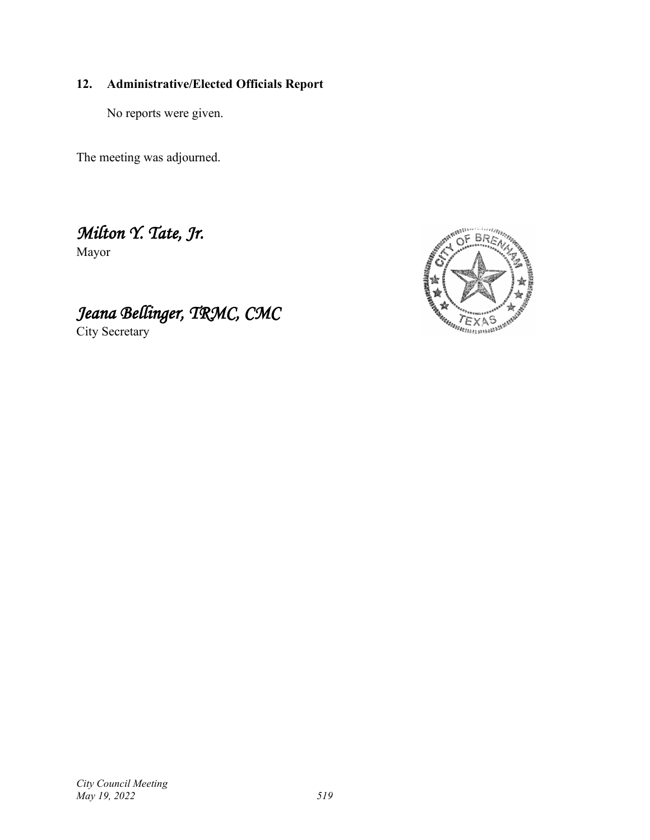## **12. Administrative/Elected Officials Report**

No reports were given.

The meeting was adjourned.

*Milton Y. Tate, Jr.* 

Mayor



*Jeana Bellinger, TRMC, CMC* City Secretary